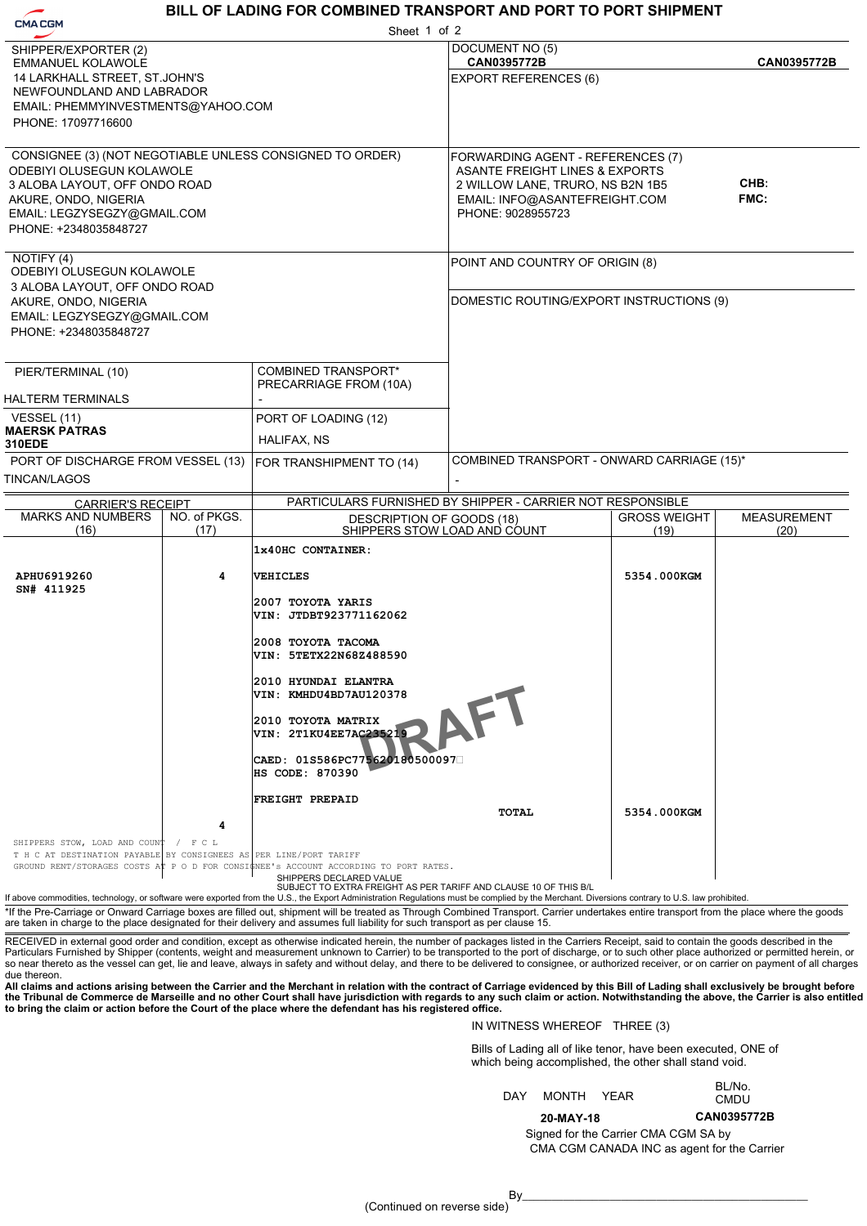# **CMACGM**

# **BILL OF LADING FOR COMBINED TRANSPORT AND PORT TO PORT SHIPMENT**

VIN: KMHDU4BD7AU120378<br>
2010 TOYOTA MATRIX<br>
VIN: 2T1KU4EE7AC235219<br>
CAED: 01S586PC775620180500097 - **MAERSK PATRAS** COMBINED TRANSPORT - ONWARD CARRIAGE (15)\*  **1x40HC CONTAINER: APHU6919260 4 VEHICLES 5354.000KGM SN# 411925 2007 TOYOTA YARIS VIN: JTDBT923771162062 2008 TOYOTA TACOMA VIN: 5TETX22N68Z488590 2010 HYUNDAI ELANTRA VIN: KMHDU4BD7AU120378 2010 TOYOTA MATRIX VIN: 2T1KU4EE7AC235219 HS CODE: 870390 FREIGHT PREPAID TOTAL 5354.000KGM** | 5354.000 | 5354.000 **M 4 CAN0395772B CAN0395772B** HALIFAX, NS TINCAN/LAGOS NOTIFY (4) CONSIGNEE (3) (NOT NEGOTIABLE UNLESS CONSIGNED TO ORDER) SHIPPER/EXPORTER (2) PIER/TERMINAL (10) VESSEL (11) PORT OF LOADING (12) PORT OF DISCHARGE FROM VESSEL (13) DOCUMENT NO (5) EXPORT REFERENCES (6) FORWARDING AGENT - REFERENCES (7) POINT AND COUNTRY OF ORIGIN (8) DOMESTIC ROUTING/EXPORT INSTRUCTIONS (9) CARRIER'S RECEIPT MARKS AND NUMBERS (16)  $\overline{NO}$  of PKGS. (17) PARTICULARS FURNISHED BY SHIPPER - CARRIER NOT RESPONSIBLE DESCRIPTION OF GOODS (18) SHIPPERS STOW LOAD AND COUNT COMBINED TRANSPORT\* FOR TRANSHIPMENT TO (14) PRECARRIAGE FROM (10A) GROSS WEIGHT (19) MEASUREMENT (20) HALTERM TERMINALS SHIPPERS DECLARED VALUE SUBJECT TO EXTRA FREIGHT AS PER TARIFF AND CLAUSE 10 OF THIS B/L If above commodities, technology, or software were exported from the U.S., the Export Administration Regulations must be complied by the Merchant. Diversions contrary to U.S. law prohibited \*If the Pre-Carriage or Onward Carriage boxes are filled out, shipment will be treated as Through Combined Transport. Carrier undertakes entire transport from the place where the goods are taken in charge to the place designated for their delivery and assumes full liability for such transport as per clause 15. Sheet 1 of 2T H C AT DESTINATION PAYABLE BY CONSIGNEES AS PER LINE/PORT TARIFF GROUND RENT/STORAGES COSTS AT P O D FOR CONSIGNEE's ACCOUNT ACCORD P O D FOR CONSIGNEE's ACCOUNT ACCORDING TO PORT RATES. - **CHB: FMC:** ODEBIYI OLUSEGUN KOLAWOLE 3 ALOBA LAYOUT, OFF ONDO ROAD AKURE, ONDO, NIGERIA EMAIL: LEGZYSEGZY@GMAIL.COM PHONE: +2348035848727 ODEBIYI OLUSEGUN KOLAWOLE 3 ALOBA LAYOUT, OFF ONDO ROAD AKURE, ONDO, NIGERIA EMAIL: LEGZYSEGZY@GMAIL.COM PHONE: +2348035848727 EMMANUEL KOLAWOLE 14 LARKHALL STREET, ST.JOHN'S NEWFOUNDLAND AND LABRADOR EMAIL: PHEMMYINVESTMENTS@YAHOO.COM PHONE: 17097716600 ASANTE FREIGHT LINES & EXPORTS 2 WILLOW LANE, TRURO, NS B2N 1B5 EMAIL: INFO@ASANTEFREIGHT.COM PHONE: 9028955723 **310EDE** SHIPPERS STOW, LOAD AND COUNT / F C L

RECEIVED in external good order and condition, except as otherwise indicated herein, the number of packages listed in the Carriers Receipt, said to contain the goods described in the<br>Particulars Furnished by Shipper (conte so near thereto as the vessel can get, lie and leave, always in safety and without delay, and there to be delivered to consignee, or authorized receiver, or on carrier on payment of all charges due thereon.

All claims and actions arising between the Carrier and the Merchant in relation with the contract of Carriage evidenced by this Bill of Lading shall exclusively be brought before<br>the Tribunal de Commerce de Marseille and n

### IN WITNESS WHEREOF THREE (3)

**20-MAY-18**

Bills of Lading all of like tenor, have been executed, ONE of which being accomplished, the other shall stand void.

|     |            | DLIVU.      |
|-----|------------|-------------|
| DAY | MONTH YEAR | <b>CMDU</b> |
|     |            |             |

**CAN0395772B**

BL/No.

CMA CGM CANADA INC as agent for the Carrier Signed for the Carrier CMA CGM SA by